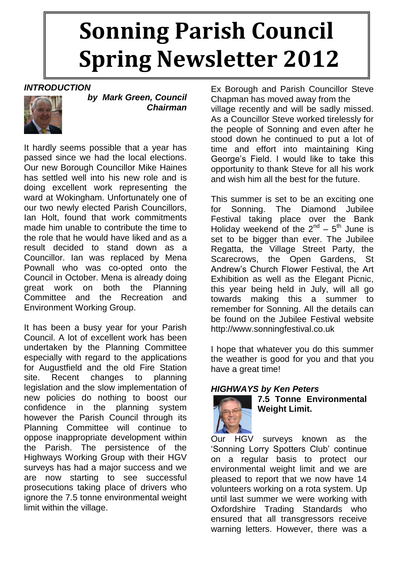## **Sonning Parish Council Spring Newsletter 2012**

#### *INTRODUCTION*



*by Mark Green, Council Chairman*

It hardly seems possible that a year has passed since we had the local elections. Our new Borough Councillor Mike Haines has settled well into his new role and is doing excellent work representing the ward at Wokingham. Unfortunately one of our two newly elected Parish Councillors, Ian Holt, found that work commitments made him unable to contribute the time to the role that he would have liked and as a result decided to stand down as a Councillor. Ian was replaced by Mena Pownall who was co-opted onto the Council in October. Mena is already doing great work on both the Planning Committee and the Recreation and Environment Working Group.

It has been a busy year for your Parish Council. A lot of excellent work has been undertaken by the Planning Committee especially with regard to the applications for Augustfield and the old Fire Station site. Recent changes to planning legislation and the slow implementation of new policies do nothing to boost our confidence in the planning system however the Parish Council through its Planning Committee will continue to oppose inappropriate development within the Parish. The persistence of the Highways Working Group with their HGV surveys has had a major success and we are now starting to see successful prosecutions taking place of drivers who ignore the 7.5 tonne environmental weight limit within the village.

Ex Borough and Parish Councillor Steve Chapman has moved away from the village recently and will be sadly missed. As a Councillor Steve worked tirelessly for the people of Sonning and even after he stood down he continued to put a lot of time and effort into maintaining King George's Field. I would like to take this opportunity to thank Steve for all his work and wish him all the best for the future.

This summer is set to be an exciting one for Sonning. The Diamond Jubilee Festival taking place over the Bank Holiday weekend of the  $2^{nd}$  –  $5^{th}$  June is set to be bigger than ever. The Jubilee Regatta, the Village Street Party, the Scarecrows, the Open Gardens, St Andrew's Church Flower Festival, the Art Exhibition as well as the Elegant Picnic, this year being held in July, will all go towards making this a summer to remember for Sonning. All the details can be found on the Jubilee Festival website [http://www.sonningfestival.co.uk](http://www.sonningfestival.co.uk/)

I hope that whatever you do this summer the weather is good for you and that you have a great time!

#### *HIGHWAYS by Ken Peters*



**7.5 Tonne Environmental Weight Limit.**

Our HGV surveys known as the 'Sonning Lorry Spotters Club' continue on a regular basis to protect our environmental weight limit and we are pleased to report that we now have 14 volunteers working on a rota system. Up until last summer we were working with Oxfordshire Trading Standards who ensured that all transgressors receive warning letters. However, there was a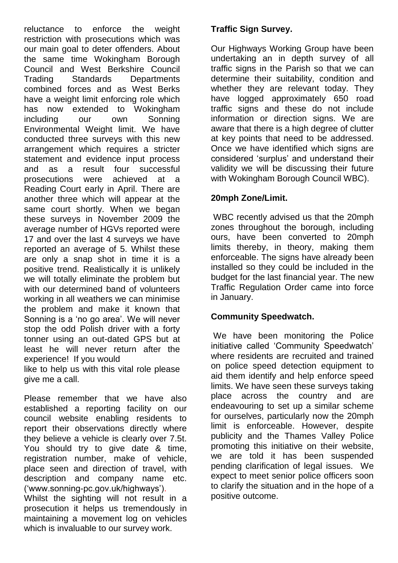reluctance to enforce the weight restriction with prosecutions which was our main goal to deter offenders. About the same time Wokingham Borough Council and West Berkshire Council Trading Standards Departments combined forces and as West Berks have a weight limit enforcing role which has now extended to Wokingham including our own Sonning Environmental Weight limit. We have conducted three surveys with this new arrangement which requires a stricter statement and evidence input process and as a result four successful prosecutions were achieved at a Reading Court early in April. There are another three which will appear at the same court shortly. When we began these surveys in November 2009 the average number of HGVs reported were 17 and over the last 4 surveys we have reported an average of 5. Whilst these are only a snap shot in time it is a positive trend. Realistically it is unlikely we will totally eliminate the problem but with our determined band of volunteers working in all weathers we can minimise the problem and make it known that Sonning is a 'no go area'. We will never stop the odd Polish driver with a forty tonner using an out-dated GPS but at least he will never return after the experience! If you would

like to help us with this vital role please give me a call.

Please remember that we have also established a reporting facility on our council website enabling residents to report their observations directly where they believe a vehicle is clearly over 7.5t. You should try to give date & time, registration number, make of vehicle, place seen and direction of travel, with description and company name etc. ('www.sonning-pc.gov.uk/highways').

Whilst the sighting will not result in a prosecution it helps us tremendously in maintaining a movement log on vehicles which is invaluable to our survey work.

#### **Traffic Sign Survey.**

Our Highways Working Group have been undertaking an in depth survey of all traffic signs in the Parish so that we can determine their suitability, condition and whether they are relevant today. They have logged approximately 650 road traffic signs and these do not include information or direction signs. We are aware that there is a high degree of clutter at key points that need to be addressed. Once we have identified which signs are considered 'surplus' and understand their validity we will be discussing their future with Wokingham Borough Council WBC).

#### **20mph Zone/Limit.**

WBC recently advised us that the 20mph zones throughout the borough, including ours, have been converted to 20mph limits thereby, in theory, making them enforceable. The signs have already been installed so they could be included in the budget for the last financial year. The new Traffic Regulation Order came into force in January.

#### **Community Speedwatch.**

We have been monitoring the Police initiative called 'Community Speedwatch' where residents are recruited and trained on police speed detection equipment to aid them identify and help enforce speed limits. We have seen these surveys taking place across the country and are endeavouring to set up a similar scheme for ourselves, particularly now the 20mph limit is enforceable. However, despite publicity and the Thames Valley Police promoting this initiative on their website, we are told it has been suspended pending clarification of legal issues. We expect to meet senior police officers soon to clarify the situation and in the hope of a positive outcome.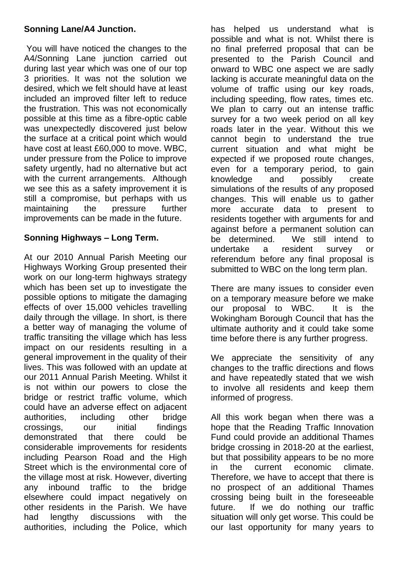#### **Sonning Lane/A4 Junction.**

You will have noticed the changes to the A4/Sonning Lane junction carried out during last year which was one of our top 3 priorities. It was not the solution we desired, which we felt should have at least included an improved filter left to reduce the frustration. This was not economically possible at this time as a fibre-optic cable was unexpectedly discovered just below the surface at a critical point which would have cost at least £60,000 to move. WBC, under pressure from the Police to improve safety urgently, had no alternative but act with the current arrangements. Although we see this as a safety improvement it is still a compromise, but perhaps with us maintaining the pressure further improvements can be made in the future.

#### **Sonning Highways – Long Term.**

At our 2010 Annual Parish Meeting our Highways Working Group presented their work on our long-term highways strategy which has been set up to investigate the possible options to mitigate the damaging effects of over 15,000 vehicles travelling daily through the village. In short, is there a better way of managing the volume of traffic transiting the village which has less impact on our residents resulting in a general improvement in the quality of their lives. This was followed with an update at our 2011 Annual Parish Meeting. Whilst it is not within our powers to close the bridge or restrict traffic volume, which could have an adverse effect on adjacent authorities, including other bridge crossings, our initial findings demonstrated that there could be considerable improvements for residents including Pearson Road and the High Street which is the environmental core of the village most at risk. However, diverting any inbound traffic to the bridge elsewhere could impact negatively on other residents in the Parish. We have had lengthy discussions with the authorities, including the Police, which

has helped us understand what is possible and what is not. Whilst there is no final preferred proposal that can be presented to the Parish Council and onward to WBC one aspect we are sadly lacking is accurate meaningful data on the volume of traffic using our key roads, including speeding, flow rates, times etc. We plan to carry out an intense traffic survey for a two week period on all key roads later in the year. Without this we cannot begin to understand the true current situation and what might be expected if we proposed route changes, even for a temporary period, to gain knowledge and possibly create simulations of the results of any proposed changes. This will enable us to gather more accurate data to present to residents together with arguments for and against before a permanent solution can be determined. We still intend to undertake a resident survey or referendum before any final proposal is submitted to WBC on the long term plan.

There are many issues to consider even on a temporary measure before we make our proposal to WBC. It is the Wokingham Borough Council that has the ultimate authority and it could take some time before there is any further progress.

We appreciate the sensitivity of any changes to the traffic directions and flows and have repeatedly stated that we wish to involve all residents and keep them informed of progress.

All this work began when there was a hope that the Reading Traffic Innovation Fund could provide an additional Thames bridge crossing in 2018-20 at the earliest, but that possibility appears to be no more in the current economic climate. Therefore, we have to accept that there is no prospect of an additional Thames crossing being built in the foreseeable future. If we do nothing our traffic situation will only get worse. This could be our last opportunity for many years to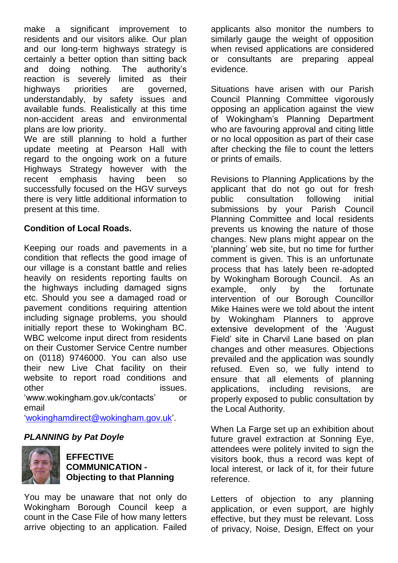make a significant improvement to residents and our visitors alike. Our plan and our long-term highways strategy is certainly a better option than sitting back and doing nothing. The authority's reaction is severely limited as their highways priorities are governed, understandably, by safety issues and available funds. Realistically at this time non-accident areas and environmental plans are low priority.

We are still planning to hold a further update meeting at Pearson Hall with regard to the ongoing work on a future Highways Strategy however with the recent emphasis having been so successfully focused on the HGV surveys there is very little additional information to present at this time.

#### **Condition of Local Roads.**

Keeping our roads and pavements in a condition that reflects the good image of our village is a constant battle and relies heavily on residents reporting faults on the highways including damaged signs etc. Should you see a damaged road or pavement conditions requiring attention including signage problems, you should initially report these to Wokingham BC. WBC welcome input direct from residents on their Customer Service Centre number on (0118) 9746000. You can also use their new Live Chat facility on their website to report road conditions and other issues. 'www.wokingham.gov.uk/contacts' or email

['wokinghamdirect@wokingham.gov.uk'](mailto:wokinghamdirect@wokingham.gov.uk).

#### *PLANNING by Pat Doyle*



**EFFECTIVE COMMUNICATION - Objecting to that Planning**

You may be unaware that not only do Wokingham Borough Council keep a count in the Case File of how many letters arrive objecting to an application. Failed

applicants also monitor the numbers to similarly gauge the weight of opposition when revised applications are considered or consultants are preparing appeal evidence.

Situations have arisen with our Parish Council Planning Committee vigorously opposing an application against the view of Wokingham's Planning Department who are favouring approval and citing little or no local opposition as part of their case after checking the file to count the letters or prints of emails.

Revisions to Planning Applications by the applicant that do not go out for fresh public consultation following initial submissions by your Parish Council Planning Committee and local residents prevents us knowing the nature of those changes. New plans might appear on the 'planning' web site, but no time for further comment is given. This is an unfortunate process that has lately been re-adopted by Wokingham Borough Council. As an example, only by the fortunate intervention of our Borough Councillor Mike Haines were we told about the intent by Wokingham Planners to approve extensive development of the 'August Field' site in Charvil Lane based on plan changes and other measures. Objections prevailed and the application was soundly refused. Even so, we fully intend to ensure that all elements of planning applications, including revisions, are properly exposed to public consultation by the Local Authority.

When La Farge set up an exhibition about future gravel extraction at Sonning Eye, attendees were politely invited to sign the visitors book, thus a record was kept of local interest, or lack of it, for their future reference.

Letters of objection to any planning application, or even support, are highly effective, but they must be relevant. Loss of privacy, Noise, Design, Effect on your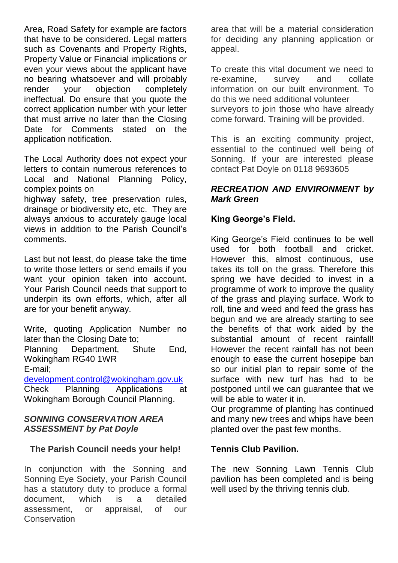Area, Road Safety for example are factors that have to be considered. Legal matters such as Covenants and Property Rights, Property Value or Financial implications or even your views about the applicant have no bearing whatsoever and will probably render your objection completely ineffectual. Do ensure that you quote the correct application number with your letter that must arrive no later than the Closing Date for Comments stated on the application notification.

The Local Authority does not expect your letters to contain numerous references to Local and National Planning Policy, complex points on

highway safety, tree preservation rules, drainage or biodiversity etc, etc. They are always anxious to accurately gauge local views in addition to the Parish Council's comments.

Last but not least, do please take the time to write those letters or send emails if you want your opinion taken into account. Your Parish Council needs that support to underpin its own efforts, which, after all are for your benefit anyway.

Write, quoting Application Number no later than the Closing Date to; Planning Department, Shute End, Wokingham RG40 1WR E-mail;

[development.control@wokingham.gov.uk](mailto:development.control@wokingham.gov.uk) Check Planning Applications at Wokingham Borough Council Planning.

#### *SONNING CONSERVATION AREA ASSESSMENT by Pat Doyle*

#### **The Parish Council needs your help!**

In conjunction with the Sonning and Sonning Eye Society, your Parish Council has a statutory duty to produce a formal document, which is a detailed assessment, or appraisal, of our **Conservation** 

area that will be a material consideration for deciding any planning application or appeal.

To create this vital document we need to re-examine, survey and collate information on our built environment. To do this we need additional volunteer surveyors to join those who have already come forward. Training will be provided.

This is an exciting community project, essential to the continued well being of Sonning. If your are interested please contact Pat Doyle on 0118 9693605

#### *RECREATION AND ENVIRONMENT* **b***y Mark Green*

#### **King George's Field.**

King George's Field continues to be well used for both football and cricket. However this, almost continuous, use takes its toll on the grass. Therefore this spring we have decided to invest in a programme of work to improve the quality of the grass and playing surface. Work to roll, tine and weed and feed the grass has begun and we are already starting to see the benefits of that work aided by the substantial amount of recent rainfall! However the recent rainfall has not been enough to ease the current hosepipe ban so our initial plan to repair some of the surface with new turf has had to be postponed until we can guarantee that we will be able to water it in.

Our programme of planting has continued and many new trees and whips have been planted over the past few months.

#### **Tennis Club Pavilion.**

The new Sonning Lawn Tennis Club pavilion has been completed and is being well used by the thriving tennis club.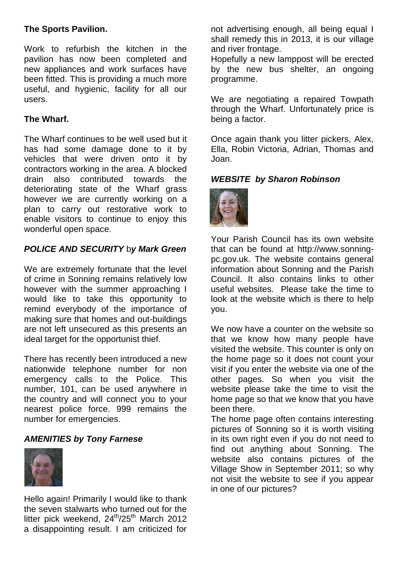#### **The Sports Pavilion.**

Work to refurbish the kitchen in the pavilion has now been completed and new appliances and work surfaces have been fitted. This is providing a much more useful, and hygienic, facility for all our users.

#### **The Wharf.**

The Wharf continues to be well used but it has had some damage done to it by vehicles that were driven onto it by contractors working in the area. A blocked drain also contributed towards the deteriorating state of the Wharf grass however we are currently working on a plan to carry out restorative work to enable visitors to continue to enjoy this wonderful open space.

#### *POLICE AND SECURITY* b*y Mark Green*

We are extremely fortunate that the level of crime in Sonning remains relatively low however with the summer approaching I would like to take this opportunity to remind everybody of the importance of making sure that homes and out-buildings are not left unsecured as this presents an ideal target for the opportunist thief.

There has recently been introduced a new nationwide telephone number for non emergency calls to the Police. This number, 101, can be used anywhere in the country and will connect you to your nearest police force. 999 remains the number for emergencies.

#### *AMENITIES by Tony Farnese*



Hello again! Primarily I would like to thank the seven stalwarts who turned out for the litter pick weekend,  $24^{th}/25^{th}$  March 2012 a disappointing result. I am criticized for

not advertising enough, all being equal I shall remedy this in 2013, it is our village and river frontage.

Hopefully a new lamppost will be erected by the new bus shelter, an ongoing programme.

We are negotiating a repaired Towpath through the Wharf. Unfortunately price is being a factor.

Once again thank you litter pickers, Alex, Ella, Robin Victoria, Adrian, Thomas and Joan.

*WEBSITE by Sharon Robinson*



Your Parish Council has its own website that can be found at http:/[/www.sonning](http://www.sonning-pc.gov.uk/)[pc.gov.uk.](http://www.sonning-pc.gov.uk/) The website contains general information about Sonning and the Parish Council. It also contains links to other useful websites. Please take the time to look at the website which is there to help you.

We now have a counter on the website so that we know how many people have visited the website. This counter is only on the home page so it does not count your visit if you enter the website via one of the other pages. So when you visit the website please take the time to visit the home page so that we know that you have been there.

The home page often contains interesting pictures of Sonning so it is worth visiting in its own right even if you do not need to find out anything about Sonning. The website also contains pictures of the Village Show in September 2011; so why not visit the website to see if you appear in one of our pictures?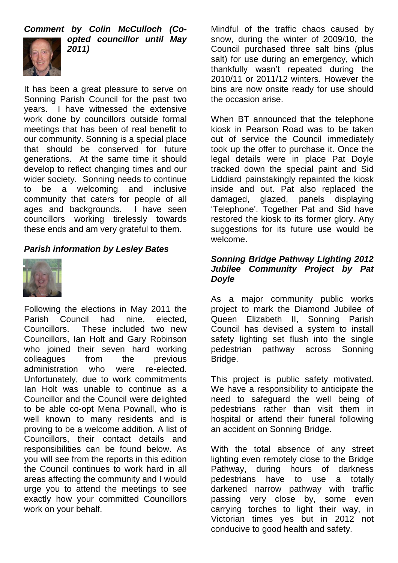*Comment by Colin McCulloch (Co-*



*opted councillor until May 2011)* 

It has been a great pleasure to serve on Sonning Parish Council for the past two years. I have witnessed the extensive work done by councillors outside formal meetings that has been of real benefit to our community. Sonning is a special place that should be conserved for future generations. At the same time it should develop to reflect changing times and our wider society. Sonning needs to continue to be a welcoming and inclusive community that caters for people of all ages and backgrounds. I have seen councillors working tirelessly towards these ends and am very grateful to them.

#### *Parish information by Lesley Bates*



Following the elections in May 2011 the Parish Council had nine, elected, Councillors. These included two new Councillors, Ian Holt and Gary Robinson who joined their seven hard working colleagues from the previous administration who were re-elected. Unfortunately, due to work commitments Ian Holt was unable to continue as a Councillor and the Council were delighted to be able co-opt Mena Pownall, who is well known to many residents and is proving to be a welcome addition. A list of Councillors, their contact details and responsibilities can be found below. As you will see from the reports in this edition the Council continues to work hard in all areas affecting the community and I would urge you to attend the meetings to see exactly how your committed Councillors work on your behalf.

Mindful of the traffic chaos caused by snow, during the winter of 2009/10, the Council purchased three salt bins (plus salt) for use during an emergency, which thankfully wasn't repeated during the 2010/11 or 2011/12 winters. However the bins are now onsite ready for use should the occasion arise.

When BT announced that the telephone kiosk in Pearson Road was to be taken out of service the Council immediately took up the offer to purchase it. Once the legal details were in place Pat Doyle tracked down the special paint and Sid Liddiard painstakingly repainted the kiosk inside and out. Pat also replaced the damaged, glazed, panels displaying 'Telephone'. Together Pat and Sid have restored the kiosk to its former glory. Any suggestions for its future use would be welcome.

#### *Sonning Bridge Pathway Lighting 2012 Jubilee Community Project by Pat Doyle*

As a major community public works project to mark the Diamond Jubilee of Queen Elizabeth II, Sonning Parish Council has devised a system to install safety lighting set flush into the single pedestrian pathway across Sonning Bridge.

This project is public safety motivated. We have a responsibility to anticipate the need to safeguard the well being of pedestrians rather than visit them in hospital or attend their funeral following an accident on Sonning Bridge.

With the total absence of any street lighting even remotely close to the Bridge Pathway, during hours of darkness pedestrians have to use a totally darkened narrow pathway with traffic passing very close by, some even carrying torches to light their way, in Victorian times yes but in 2012 not conducive to good health and safety.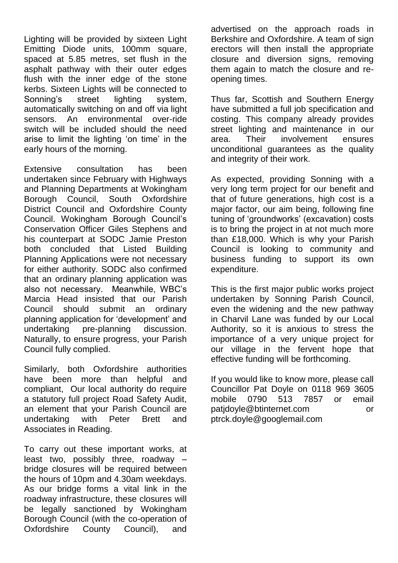Lighting will be provided by sixteen Light Emitting Diode units, 100mm square, spaced at 5.85 metres, set flush in the asphalt pathway with their outer edges flush with the inner edge of the stone kerbs. Sixteen Lights will be connected to Sonning's street lighting system, automatically switching on and off via light sensors. An environmental over-ride switch will be included should the need arise to limit the lighting 'on time' in the early hours of the morning.

Extensive consultation has been undertaken since February with Highways and Planning Departments at Wokingham Borough Council, South Oxfordshire District Council and Oxfordshire County Council. Wokingham Borough Council's Conservation Officer Giles Stephens and his counterpart at SODC Jamie Preston both concluded that Listed Building Planning Applications were not necessary for either authority. SODC also confirmed that an ordinary planning application was also not necessary. Meanwhile, WBC's Marcia Head insisted that our Parish Council should submit an ordinary planning application for 'development' and undertaking pre-planning discussion. Naturally, to ensure progress, your Parish Council fully complied.

Similarly, both Oxfordshire authorities have been more than helpful and compliant, Our local authority do require a statutory full project Road Safety Audit, an element that your Parish Council are undertaking with Peter Brett and Associates in Reading.

To carry out these important works, at least two, possibly three, roadway – bridge closures will be required between the hours of 10pm and 4.30am weekdays. As our bridge forms a vital link in the roadway infrastructure, these closures will be legally sanctioned by Wokingham Borough Council (with the co-operation of Oxfordshire County Council), and

advertised on the approach roads in Berkshire and Oxfordshire. A team of sign erectors will then install the appropriate closure and diversion signs, removing them again to match the closure and reopening times.

Thus far, Scottish and Southern Energy have submitted a full job specification and costing. This company already provides street lighting and maintenance in our area. Their involvement ensures unconditional guarantees as the quality and integrity of their work.

As expected, providing Sonning with a very long term project for our benefit and that of future generations, high cost is a major factor, our aim being, following fine tuning of 'groundworks' (excavation) costs is to bring the project in at not much more than £18,000. Which is why your Parish Council is looking to community and business funding to support its own expenditure.

This is the first major public works project undertaken by Sonning Parish Council, even the widening and the new pathway in Charvil Lane was funded by our Local Authority, so it is anxious to stress the importance of a very unique project for our village in the fervent hope that effective funding will be forthcoming.

If you would like to know more, please call Councillor Pat Doyle on 0118 969 3605 mobile 0790 513 7857 or email patidoyle@btinternet.com or [ptrck.doyle@googlemail.com](mailto:ptrck.doyle@googlemail.com)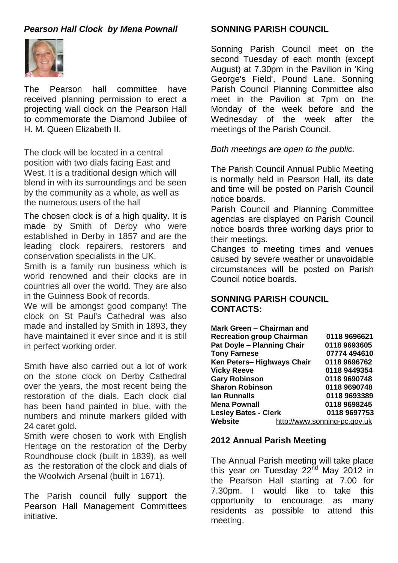#### *Pearson Hall Clock by Mena Pownall*



The Pearson hall committee have received planning permission to erect a projecting wall clock on the Pearson Hall to commemorate the Diamond Jubilee of H. M. Queen Elizabeth II.

The clock will be located in a central position with two dials facing East and West. It is a traditional design which will blend in with its surroundings and be seen by the community as a whole, as well as the numerous users of the hall

The chosen clock is of a high quality. It is made by Smith of Derby who were established in Derby in 1857 and are the leading clock repairers, restorers and conservation specialists in the UK.

Smith is a family run business which is world renowned and their clocks are in countries all over the world. They are also in the Guinness Book of records.

We will be amongst good company! The clock on St Paul's Cathedral was also made and installed by Smith in 1893, they have maintained it ever since and it is still in perfect working order.

Smith have also carried out a lot of work on the stone clock on Derby Cathedral over the years, the most recent being the restoration of the dials. Each clock dial has been hand painted in blue, with the numbers and minute markers gilded with 24 caret gold.

Smith were chosen to work with English Heritage on the restoration of the Derby Roundhouse clock (built in 1839), as well as the restoration of the clock and dials of the Woolwich Arsenal (built in 1671).

The Parish council fully support the Pearson Hall Management Committees initiative.

#### **SONNING PARISH COUNCIL**

Sonning Parish Council meet on the second Tuesday of each month (except August) at 7.30pm in the Pavilion in 'King George's Field', Pound Lane. Sonning Parish Council Planning Committee also meet in the Pavilion at 7pm on the Monday of the week before and the Wednesday of the week after the meetings of the Parish Council.

#### *Both meetings are open to the public.*

The Parish Council Annual Public Meeting is normally held in Pearson Hall, its date and time will be posted on Parish Council notice boards.

Parish Council and Planning Committee agendas are displayed on Parish Council notice boards three working days prior to their meetings.

Changes to meeting times and venues caused by severe weather or unavoidable circumstances will be posted on Parish Council notice boards.

#### **SONNING PARISH COUNCIL CONTACTS:**

| Mark Green - Chairman and         |                              |
|-----------------------------------|------------------------------|
| <b>Recreation group Chairman</b>  | 0118 9696621                 |
| <b>Pat Doyle - Planning Chair</b> | 0118 9693605                 |
| <b>Tony Farnese</b>               | 07774 494610                 |
| Ken Peters-Highways Chair         | 0118 9696762                 |
| <b>Vicky Reeve</b>                | 0118 9449354                 |
| <b>Gary Robinson</b>              | 0118 9690748                 |
| <b>Sharon Robinson</b>            | 0118 9690748                 |
| lan Runnalls                      | 0118 9693389                 |
| <b>Mena Pownall</b>               | 0118 9698245                 |
| <b>Lesley Bates - Clerk</b>       | 0118 9697753                 |
| Website                           | http://www.sonning-pc.gov.uk |

#### **2012 Annual Parish Meeting**

The Annual Parish meeting will take place this year on Tuesday  $22^{nd}$  May 2012 in the Pearson Hall starting at 7.00 for 7.30pm. I would like to take this opportunity to encourage as many residents as possible to attend this meeting.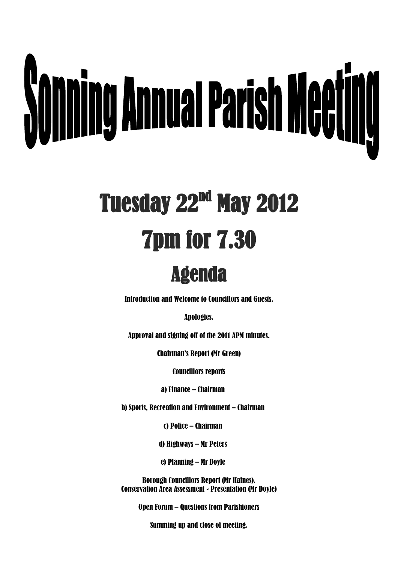# **Sonning Annual Parish Meeting**

# Tuesday 22<sup>nd</sup> May 2012 7pm for 7.30

### Agenda

Introduction and Welcome to Councillors and Guests.

Apologies.

Approval and signing off of the 2011 APM minutes.

Chairman's Report (Mr Green)

Councillors reports

a) Finance – Chairman

b) Sports, Recreation and Environment – Chairman

c) Police – Chairman

d) Highways – Mr Peters

e) Planning – Mr Doyle

Borough Councillors Report (Mr Haines). Conservation Area Assessment - Presentation (Mr Doyle)

Open Forum – Questions from Parishioners

Summing up and close of meeting.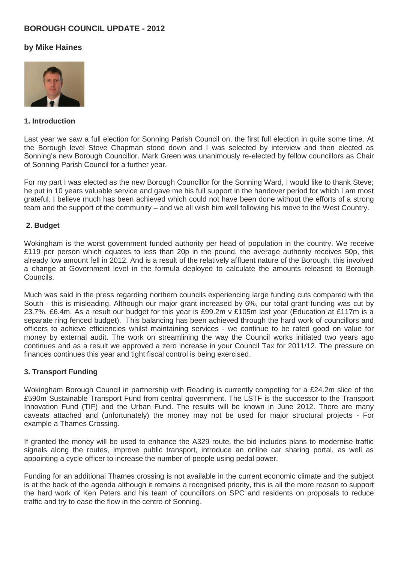#### **BOROUGH COUNCIL UPDATE - 2012**

#### **by Mike Haines**



#### **1. Introduction**

Last year we saw a full election for Sonning Parish Council on, the first full election in quite some time. At the Borough level Steve Chapman stood down and I was selected by interview and then elected as Sonning's new Borough Councillor. Mark Green was unanimously re-elected by fellow councillors as Chair of Sonning Parish Council for a further year.

For my part I was elected as the new Borough Councillor for the Sonning Ward, I would like to thank Steve; he put in 10 years valuable service and gave me his full support in the handover period for which I am most grateful. I believe much has been achieved which could not have been done without the efforts of a strong team and the support of the community – and we all wish him well following his move to the West Country.

#### **2. Budget**

Wokingham is the worst government funded authority per head of population in the country. We receive £119 per person which equates to less than 20p in the pound, the average authority receives 50p, this already low amount fell in 2012. And is a result of the relatively affluent nature of the Borough, this involved a change at Government level in the formula deployed to calculate the amounts released to Borough Councils.

Much was said in the press regarding northern councils experiencing large funding cuts compared with the South - this is misleading. Although our major grant increased by 6%, our total grant funding was cut by 23.7%, £6.4m. As a result our budget for this year is £99.2m v £105m last year (Education at £117m is a separate ring fenced budget). This balancing has been achieved through the hard work of councillors and officers to achieve efficiencies whilst maintaining services - we continue to be rated good on value for money by external audit. The work on streamlining the way the Council works initiated two years ago continues and as a result we approved a zero increase in your Council Tax for 2011/12. The pressure on finances continues this year and tight fiscal control is being exercised.

#### **3. Transport Funding**

Wokingham Borough Council in partnership with Reading is currently competing for a £24.2m slice of the £590m Sustainable Transport Fund from central government. The LSTF is the successor to the Transport Innovation Fund (TIF) and the Urban Fund. The results will be known in June 2012. There are many caveats attached and (unfortunately) the money may not be used for major structural projects - For example a Thames Crossing.

If granted the money will be used to enhance the A329 route, the bid includes plans to modernise traffic signals along the routes, improve public transport, introduce an online car sharing portal, as well as appointing a cycle officer to increase the number of people using pedal power.

Funding for an additional Thames crossing is not available in the current economic climate and the subject is at the back of the agenda although it remains a recognised priority, this is all the more reason to support the hard work of Ken Peters and his team of councillors on SPC and residents on proposals to reduce traffic and try to ease the flow in the centre of Sonning.